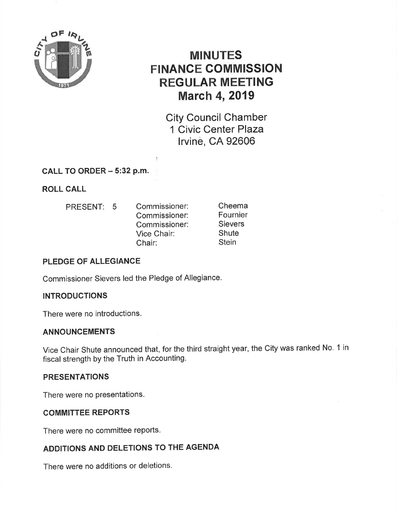

# MINUTES FINANCE GOMMISSION REGULAR MEETING **March 4, 2019**

City Council Chamber 1 Civic Center Plaza lrvine, CA 92606

CALL TO ORDER  $-5:32$  p.m.

ROLL CALL

- PRESENT: 5
- Commissioner: Commissioner: Commissioner: Vice Chair: Chair:

Cheema Fournier **Sievers Shute Stein** 

### PLEDGE OF ALLEGIANCE

Commissioner Sievers led the Pledge of Allegiance.

### **INTRODUCTIONS**

There were no introductions.

### ANNOUNCEMENTS

Vice Chair Shute announced that, for the third straight year, the City was ranked No. 1 in fiscal strength by the Truth in Accounting.

### PRESENTATIONS

There were no presentations.

### COMMITTEE REPORTS

There were no committee reports.

## ADDITIONS AND DELETIONS TO THE AGENDA

There were no additions or deletions.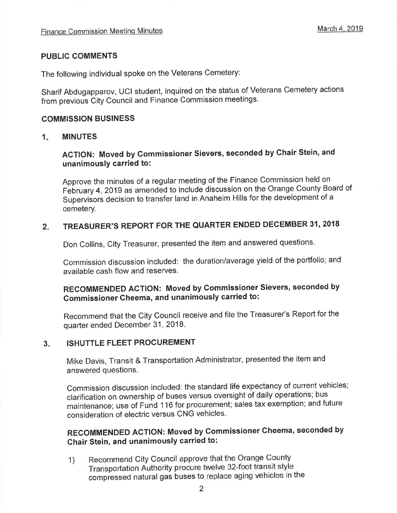### PUBLIC COMMENTS

The following individual spoke on the Veterans Cemetery:

Sharif Abdugapparov, UCI student, inquired on the status of Veterans Cemetery actions from previous city council and Finance commission meetings.

### COMMISSION BUSINESS

#### 1 MINUTES

# AGTION: Moved by Commissioner Sievers, seconded by Chair Stein, and unanimously carried to:

Approve the minutes of a regular meeting of the Finance Commission held on February 4, 2019 as amended to include discussion on the Orange County Board of Supervisors decision to transfer land in Anaheim Hills for the development of a cemetery.

#### TREASURER'S REPORT FOR THE QUARTER ENDED DECEMBER 31, 2018  $2.$

Don Collins, City Treasurer, presented the item and answered questions.

Commission discussion included: the duration/average yield of the portfolio; and available cash flow and reserves.

# RECOMMENDED AGTION: Moved by Commissioner Sievers, seconded by Gommissioner Cheema, and unanimously carried to:

Recommend that the City Council receive and file the Treasurer's Report for the quarter ended December 31, 2018.

#### ISHUTTLE FLEET PROCUREMENT  $3<sub>z</sub>$

Mike Davis, Transit & Transportation Administrator, presented the item and answered questions.

Commission discussion included: the standard life expectancy of current vehicles; clarification on ownership of buses versus oversight of daily operations; bus maintenance; use of Fund 116 for procurement; sales tax exemption; and future consideration of electric versus CNG vehicles.

# RECOMMENDED ACTION: Moved by Gommissioner Gheema, seconded by Chair Stein, and unanimously carried to:

1) Recommend city council approve that the orange county Transportation Authority procure twelve 32-foot transit style compressed natural gas buses to replace aging vehicles in the